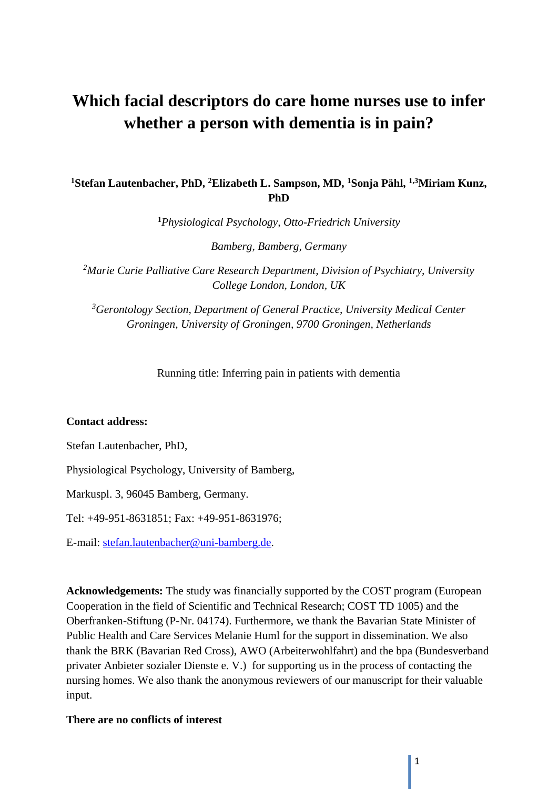# **Which facial descriptors do care home nurses use to infer whether a person with dementia is in pain?**

# **<sup>1</sup>Stefan Lautenbacher, PhD, <sup>2</sup>Elizabeth L. Sampson, MD, <sup>1</sup>Sonja Pähl, 1,3Miriam Kunz, PhD**

**<sup>1</sup>***Physiological Psychology, Otto-Friedrich University*

*Bamberg, Bamberg, Germany*

*<sup>2</sup>Marie Curie Palliative Care Research Department, Division of Psychiatry, University College London, London, UK*

*<sup>3</sup>Gerontology Section, Department of General Practice, University Medical Center Groningen, University of Groningen, 9700 Groningen, Netherlands*

Running title: Inferring pain in patients with dementia

#### **Contact address:**

Stefan Lautenbacher, PhD,

Physiological Psychology, University of Bamberg,

Markuspl. 3, 96045 Bamberg, Germany.

Tel: +49-951-8631851; Fax: +49-951-8631976;

E-mail: [stefan.lautenbacher@uni-bamberg.de.](mailto:stefan.lautenbacher@uni-bamberg.de)

**Acknowledgements:** The study was financially supported by the COST program (European Cooperation in the field of Scientific and Technical Research; COST TD 1005) and the Oberfranken-Stiftung (P-Nr. 04174). Furthermore, we thank the Bavarian State Minister of Public Health and Care Services Melanie Huml for the support in dissemination. We also thank the BRK (Bavarian Red Cross), AWO (Arbeiterwohlfahrt) and the bpa (Bundesverband privater Anbieter sozialer Dienste e. V.) for supporting us in the process of contacting the nursing homes. We also thank the anonymous reviewers of our manuscript for their valuable input.

## **There are no conflicts of interest**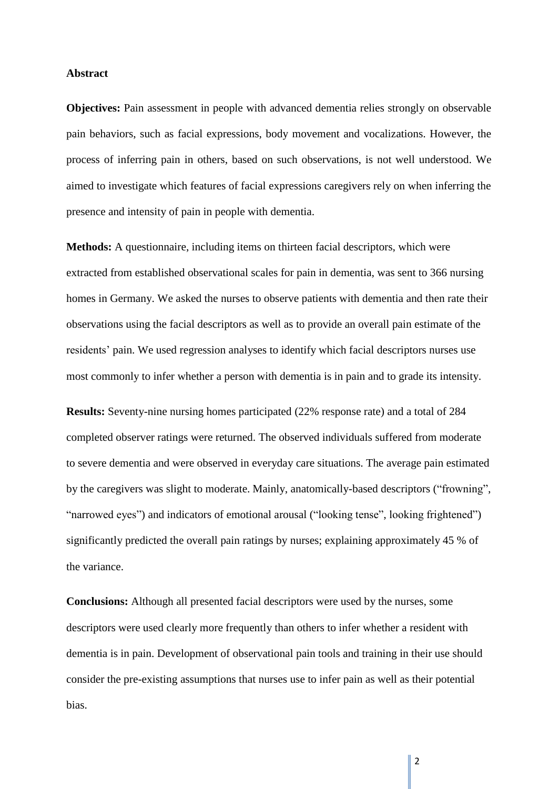#### **Abstract**

**Objectives:** Pain assessment in people with advanced dementia relies strongly on observable pain behaviors, such as facial expressions, body movement and vocalizations. However, the process of inferring pain in others, based on such observations, is not well understood. We aimed to investigate which features of facial expressions caregivers rely on when inferring the presence and intensity of pain in people with dementia.

**Methods:** A questionnaire, including items on thirteen facial descriptors, which were extracted from established observational scales for pain in dementia, was sent to 366 nursing homes in Germany. We asked the nurses to observe patients with dementia and then rate their observations using the facial descriptors as well as to provide an overall pain estimate of the residents' pain. We used regression analyses to identify which facial descriptors nurses use most commonly to infer whether a person with dementia is in pain and to grade its intensity.

**Results:** Seventy-nine nursing homes participated (22% response rate) and a total of 284 completed observer ratings were returned. The observed individuals suffered from moderate to severe dementia and were observed in everyday care situations. The average pain estimated by the caregivers was slight to moderate. Mainly, anatomically-based descriptors ("frowning", "narrowed eyes") and indicators of emotional arousal ("looking tense", looking frightened") significantly predicted the overall pain ratings by nurses; explaining approximately 45 % of the variance.

**Conclusions:** Although all presented facial descriptors were used by the nurses, some descriptors were used clearly more frequently than others to infer whether a resident with dementia is in pain. Development of observational pain tools and training in their use should consider the pre-existing assumptions that nurses use to infer pain as well as their potential bias.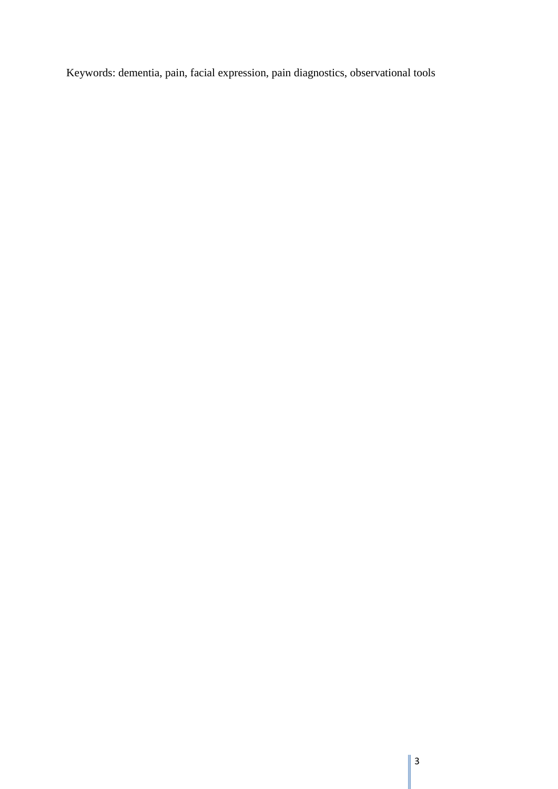Keywords: dementia, pain, facial expression, pain diagnostics, observational tools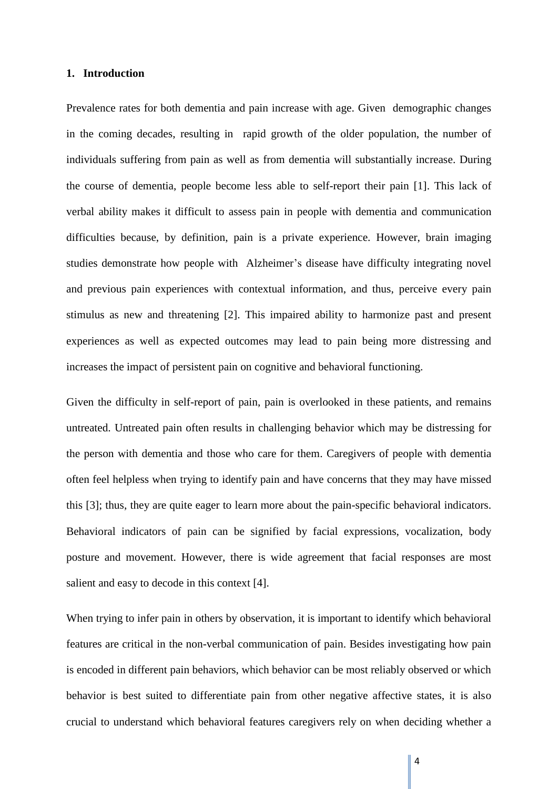#### **1. Introduction**

Prevalence rates for both dementia and pain increase with age. Given demographic changes in the coming decades, resulting in rapid growth of the older population, the number of individuals suffering from pain as well as from dementia will substantially increase. During the course of dementia, people become less able to self-report their pain [1]. This lack of verbal ability makes it difficult to assess pain in people with dementia and communication difficulties because, by definition, pain is a private experience. However, brain imaging studies demonstrate how people with Alzheimer's disease have difficulty integrating novel and previous pain experiences with contextual information, and thus, perceive every pain stimulus as new and threatening [2]. This impaired ability to harmonize past and present experiences as well as expected outcomes may lead to pain being more distressing and increases the impact of persistent pain on cognitive and behavioral functioning.

Given the difficulty in self-report of pain, pain is overlooked in these patients, and remains untreated. Untreated pain often results in challenging behavior which may be distressing for the person with dementia and those who care for them. Caregivers of people with dementia often feel helpless when trying to identify pain and have concerns that they may have missed this [3]; thus, they are quite eager to learn more about the pain-specific behavioral indicators. Behavioral indicators of pain can be signified by facial expressions, vocalization, body posture and movement. However, there is wide agreement that facial responses are most salient and easy to decode in this context [4].

When trying to infer pain in others by observation, it is important to identify which behavioral features are critical in the non-verbal communication of pain. Besides investigating how pain is encoded in different pain behaviors, which behavior can be most reliably observed or which behavior is best suited to differentiate pain from other negative affective states, it is also crucial to understand which behavioral features caregivers rely on when deciding whether a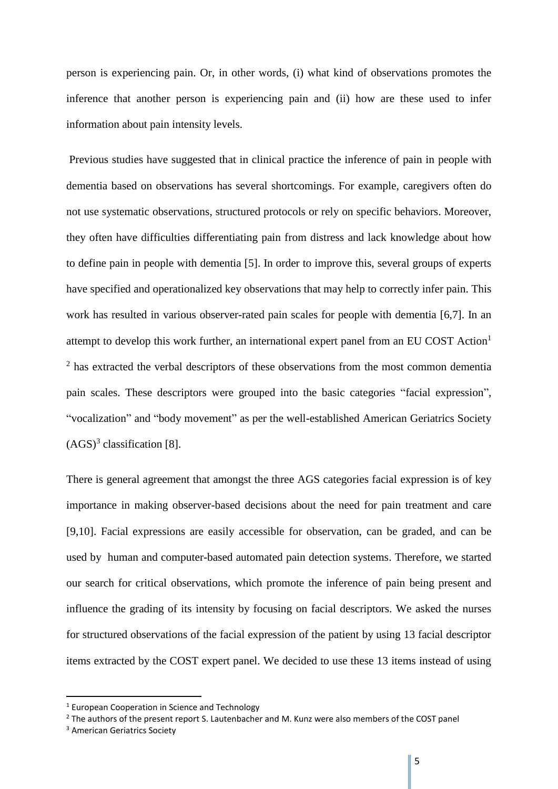person is experiencing pain. Or, in other words, (i) what kind of observations promotes the inference that another person is experiencing pain and (ii) how are these used to infer information about pain intensity levels.

Previous studies have suggested that in clinical practice the inference of pain in people with dementia based on observations has several shortcomings. For example, caregivers often do not use systematic observations, structured protocols or rely on specific behaviors. Moreover, they often have difficulties differentiating pain from distress and lack knowledge about how to define pain in people with dementia [5]. In order to improve this, several groups of experts have specified and operationalized key observations that may help to correctly infer pain. This work has resulted in various observer-rated pain scales for people with dementia [6,7]. In an attempt to develop this work further, an international expert panel from an EU COST Action<sup>1</sup>  $2$  has extracted the verbal descriptors of these observations from the most common dementia pain scales. These descriptors were grouped into the basic categories "facial expression", "vocalization" and "body movement" as per the well-established American Geriatrics Society  $(AGS)^3$  classification [8].

There is general agreement that amongst the three AGS categories facial expression is of key importance in making observer-based decisions about the need for pain treatment and care [9,10]. Facial expressions are easily accessible for observation, can be graded, and can be used by human and computer-based automated pain detection systems. Therefore, we started our search for critical observations, which promote the inference of pain being present and influence the grading of its intensity by focusing on facial descriptors. We asked the nurses for structured observations of the facial expression of the patient by using 13 facial descriptor items extracted by the COST expert panel. We decided to use these 13 items instead of using

1

<sup>1</sup> European Cooperation in Science and Technology

<sup>&</sup>lt;sup>2</sup> The authors of the present report S. Lautenbacher and M. Kunz were also members of the COST panel

<sup>3</sup> American Geriatrics Society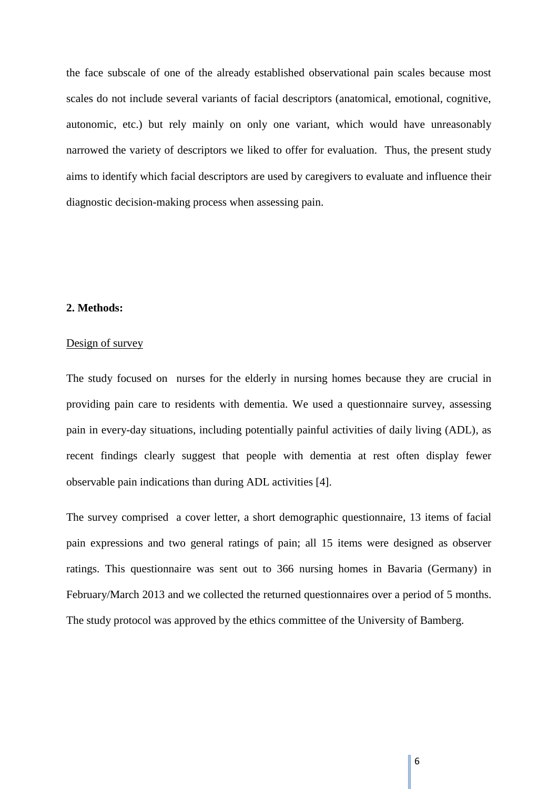the face subscale of one of the already established observational pain scales because most scales do not include several variants of facial descriptors (anatomical, emotional, cognitive, autonomic, etc.) but rely mainly on only one variant, which would have unreasonably narrowed the variety of descriptors we liked to offer for evaluation. Thus, the present study aims to identify which facial descriptors are used by caregivers to evaluate and influence their diagnostic decision-making process when assessing pain.

#### **2. Methods:**

## Design of survey

The study focused on nurses for the elderly in nursing homes because they are crucial in providing pain care to residents with dementia. We used a questionnaire survey, assessing pain in every-day situations, including potentially painful activities of daily living (ADL), as recent findings clearly suggest that people with dementia at rest often display fewer observable pain indications than during ADL activities [4].

The survey comprised a cover letter, a short demographic questionnaire, 13 items of facial pain expressions and two general ratings of pain; all 15 items were designed as observer ratings. This questionnaire was sent out to 366 nursing homes in Bavaria (Germany) in February/March 2013 and we collected the returned questionnaires over a period of 5 months. The study protocol was approved by the ethics committee of the University of Bamberg.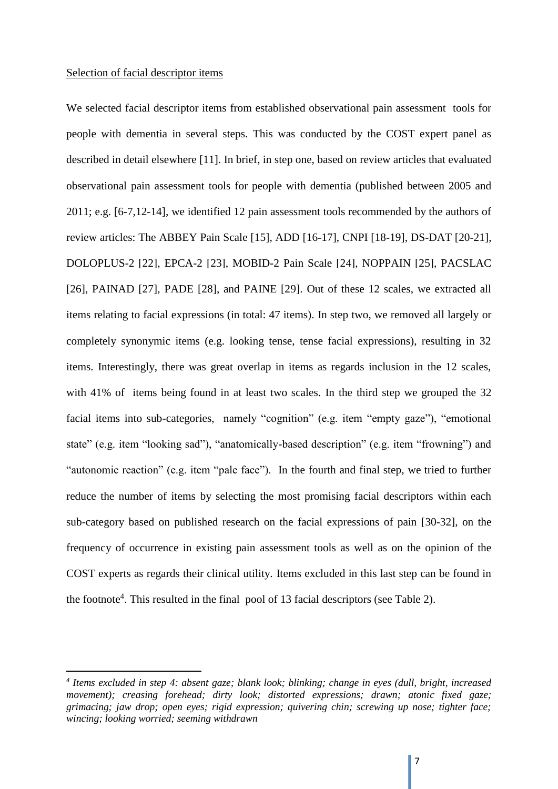#### Selection of facial descriptor items

**.** 

We selected facial descriptor items from established observational pain assessment tools for people with dementia in several steps. This was conducted by the COST expert panel as described in detail elsewhere [11]. In brief, in step one, based on review articles that evaluated observational pain assessment tools for people with dementia (published between 2005 and 2011; e.g. [6-7,12-14], we identified 12 pain assessment tools recommended by the authors of review articles: The ABBEY Pain Scale [15], ADD [16-17], CNPI [18-19], DS-DAT [20-21], DOLOPLUS-2 [22], EPCA-2 [23], MOBID-2 Pain Scale [24], NOPPAIN [25], PACSLAC [26], PAINAD [27], PADE [28], and PAINE [29]. Out of these 12 scales, we extracted all items relating to facial expressions (in total: 47 items). In step two, we removed all largely or completely synonymic items (e.g. looking tense, tense facial expressions), resulting in 32 items. Interestingly, there was great overlap in items as regards inclusion in the 12 scales, with 41% of items being found in at least two scales. In the third step we grouped the 32 facial items into sub-categories, namely "cognition" (e.g. item "empty gaze"), "emotional state" (e.g. item "looking sad"), "anatomically-based description" (e.g. item "frowning") and "autonomic reaction" (e.g. item "pale face"). In the fourth and final step, we tried to further reduce the number of items by selecting the most promising facial descriptors within each sub-category based on published research on the facial expressions of pain [30-32], on the frequency of occurrence in existing pain assessment tools as well as on the opinion of the COST experts as regards their clinical utility. Items excluded in this last step can be found in the footnote<sup>4</sup>. This resulted in the final pool of 13 facial descriptors (see Table 2).

*<sup>4</sup> Items excluded in step 4: absent gaze; blank look; blinking; change in eyes (dull, bright, increased movement); creasing forehead; dirty look; distorted expressions; drawn; atonic fixed gaze; grimacing; jaw drop; open eyes; rigid expression; quivering chin; screwing up nose; tighter face; wincing; looking worried; seeming withdrawn*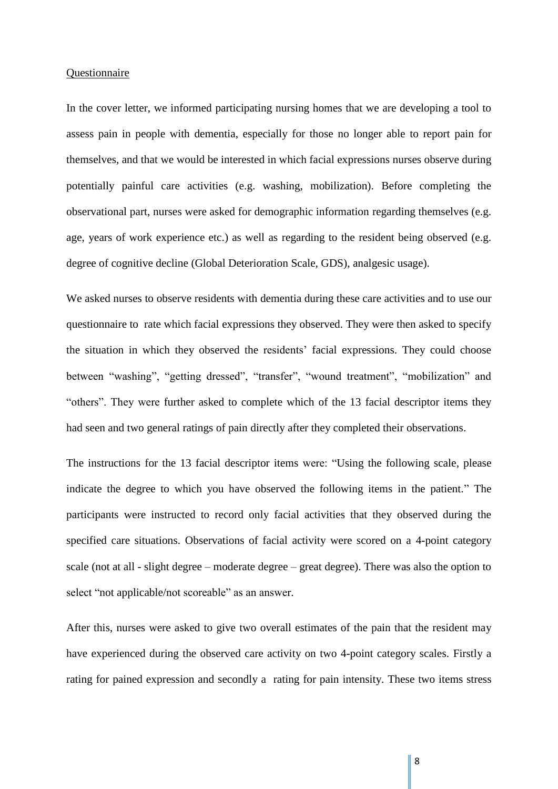#### Questionnaire

In the cover letter, we informed participating nursing homes that we are developing a tool to assess pain in people with dementia, especially for those no longer able to report pain for themselves, and that we would be interested in which facial expressions nurses observe during potentially painful care activities (e.g. washing, mobilization). Before completing the observational part, nurses were asked for demographic information regarding themselves (e.g. age, years of work experience etc.) as well as regarding to the resident being observed (e.g. degree of cognitive decline (Global Deterioration Scale, GDS), analgesic usage).

We asked nurses to observe residents with dementia during these care activities and to use our questionnaire to rate which facial expressions they observed. They were then asked to specify the situation in which they observed the residents' facial expressions. They could choose between "washing", "getting dressed", "transfer", "wound treatment", "mobilization" and "others". They were further asked to complete which of the 13 facial descriptor items they had seen and two general ratings of pain directly after they completed their observations.

The instructions for the 13 facial descriptor items were: "Using the following scale, please indicate the degree to which you have observed the following items in the patient." The participants were instructed to record only facial activities that they observed during the specified care situations. Observations of facial activity were scored on a 4-point category scale (not at all - slight degree – moderate degree – great degree). There was also the option to select "not applicable/not scoreable" as an answer.

After this, nurses were asked to give two overall estimates of the pain that the resident may have experienced during the observed care activity on two 4-point category scales. Firstly a rating for pained expression and secondly a rating for pain intensity. These two items stress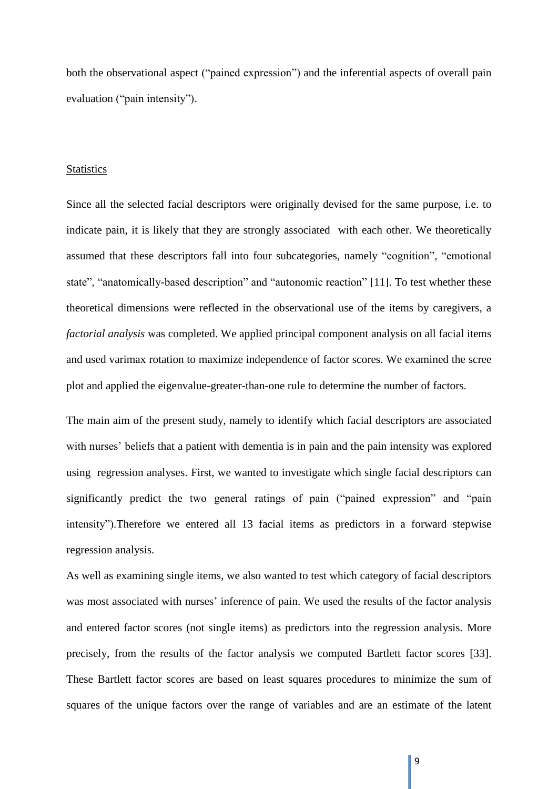both the observational aspect ("pained expression") and the inferential aspects of overall pain evaluation ("pain intensity").

#### **Statistics**

Since all the selected facial descriptors were originally devised for the same purpose, i.e. to indicate pain, it is likely that they are strongly associated with each other. We theoretically assumed that these descriptors fall into four subcategories, namely "cognition", "emotional state", "anatomically-based description" and "autonomic reaction" [11]. To test whether these theoretical dimensions were reflected in the observational use of the items by caregivers, a *factorial analysis* was completed. We applied principal component analysis on all facial items and used varimax rotation to maximize independence of factor scores. We examined the scree plot and applied the eigenvalue-greater-than-one rule to determine the number of factors.

The main aim of the present study, namely to identify which facial descriptors are associated with nurses' beliefs that a patient with dementia is in pain and the pain intensity was explored using regression analyses. First, we wanted to investigate which single facial descriptors can significantly predict the two general ratings of pain ("pained expression" and "pain intensity").Therefore we entered all 13 facial items as predictors in a forward stepwise regression analysis.

As well as examining single items, we also wanted to test which category of facial descriptors was most associated with nurses' inference of pain. We used the results of the factor analysis and entered factor scores (not single items) as predictors into the regression analysis. More precisely, from the results of the factor analysis we computed Bartlett factor scores [33]. These Bartlett factor scores are based on least squares procedures to minimize the sum of squares of the unique factors over the range of variables and are an estimate of the latent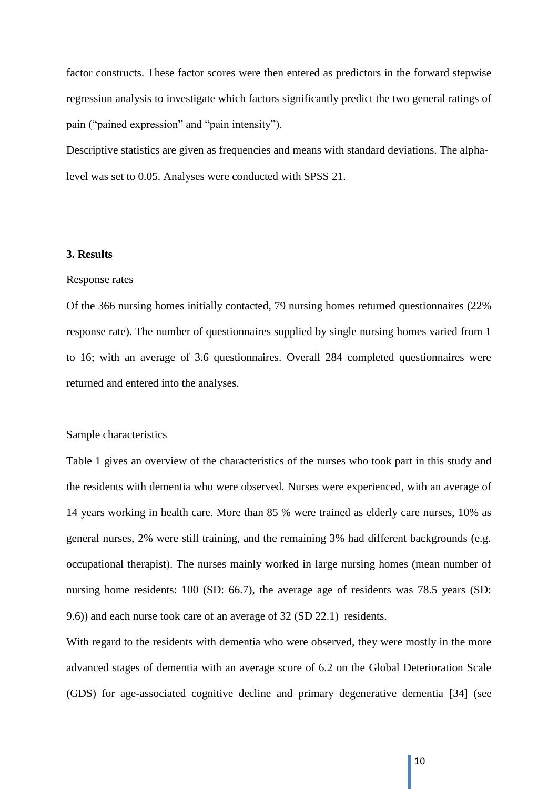factor constructs. These factor scores were then entered as predictors in the forward stepwise regression analysis to investigate which factors significantly predict the two general ratings of pain ("pained expression" and "pain intensity").

Descriptive statistics are given as frequencies and means with standard deviations. The alphalevel was set to 0.05. Analyses were conducted with SPSS 21.

#### **3. Results**

#### Response rates

Of the 366 nursing homes initially contacted, 79 nursing homes returned questionnaires (22% response rate). The number of questionnaires supplied by single nursing homes varied from 1 to 16; with an average of 3.6 questionnaires. Overall 284 completed questionnaires were returned and entered into the analyses.

#### Sample characteristics

Table 1 gives an overview of the characteristics of the nurses who took part in this study and the residents with dementia who were observed. Nurses were experienced, with an average of 14 years working in health care. More than 85 % were trained as elderly care nurses, 10% as general nurses, 2% were still training, and the remaining 3% had different backgrounds (e.g. occupational therapist). The nurses mainly worked in large nursing homes (mean number of nursing home residents: 100 (SD: 66.7), the average age of residents was 78.5 years (SD: 9.6)) and each nurse took care of an average of 32 (SD 22.1) residents.

With regard to the residents with dementia who were observed, they were mostly in the more advanced stages of dementia with an average score of 6.2 on the Global Deterioration Scale (GDS) for age-associated cognitive decline and primary degenerative dementia [34] (see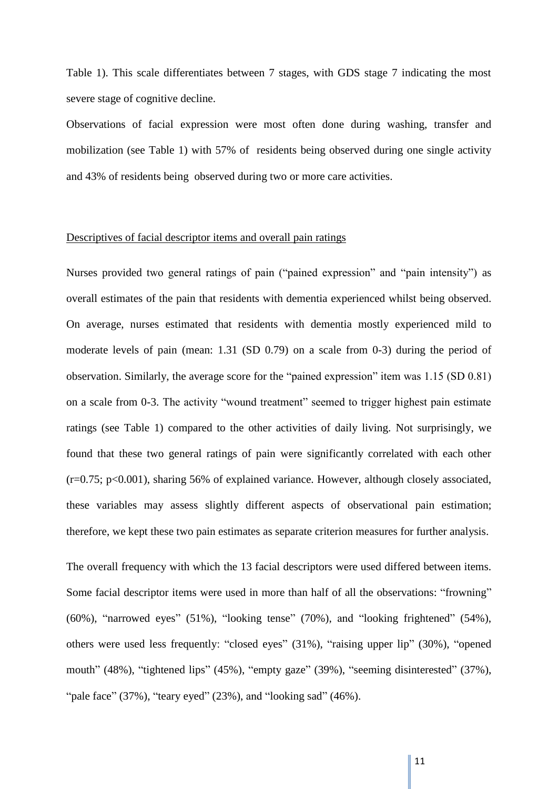Table 1). This scale differentiates between 7 stages, with GDS stage 7 indicating the most severe stage of cognitive decline.

Observations of facial expression were most often done during washing, transfer and mobilization (see Table 1) with 57% of residents being observed during one single activity and 43% of residents being observed during two or more care activities.

#### Descriptives of facial descriptor items and overall pain ratings

Nurses provided two general ratings of pain ("pained expression" and "pain intensity") as overall estimates of the pain that residents with dementia experienced whilst being observed. On average, nurses estimated that residents with dementia mostly experienced mild to moderate levels of pain (mean: 1.31 (SD 0.79) on a scale from 0-3) during the period of observation. Similarly, the average score for the "pained expression" item was 1.15 (SD 0.81) on a scale from 0-3. The activity "wound treatment" seemed to trigger highest pain estimate ratings (see Table 1) compared to the other activities of daily living. Not surprisingly, we found that these two general ratings of pain were significantly correlated with each other (r=0.75; p<0.001), sharing 56% of explained variance. However, although closely associated, these variables may assess slightly different aspects of observational pain estimation; therefore, we kept these two pain estimates as separate criterion measures for further analysis.

The overall frequency with which the 13 facial descriptors were used differed between items. Some facial descriptor items were used in more than half of all the observations: "frowning" (60%), "narrowed eyes" (51%), "looking tense" (70%), and "looking frightened" (54%), others were used less frequently: "closed eyes" (31%), "raising upper lip" (30%), "opened mouth" (48%), "tightened lips" (45%), "empty gaze" (39%), "seeming disinterested" (37%), "pale face"  $(37\%)$ , "teary eyed"  $(23\%)$ , and "looking sad"  $(46\%)$ .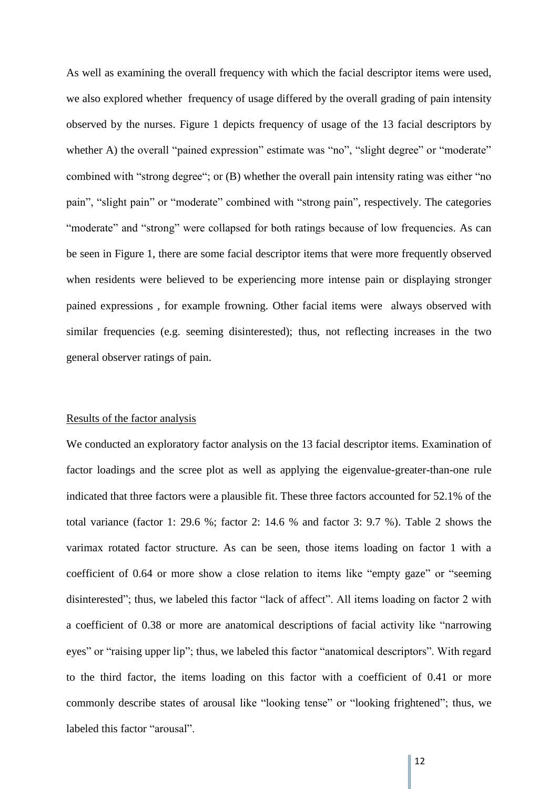As well as examining the overall frequency with which the facial descriptor items were used, we also explored whether frequency of usage differed by the overall grading of pain intensity observed by the nurses. Figure 1 depicts frequency of usage of the 13 facial descriptors by whether A) the overall "pained expression" estimate was "no", "slight degree" or "moderate" combined with "strong degree"; or (B) whether the overall pain intensity rating was either "no pain", "slight pain" or "moderate" combined with "strong pain", respectively. The categories "moderate" and "strong" were collapsed for both ratings because of low frequencies. As can be seen in Figure 1, there are some facial descriptor items that were more frequently observed when residents were believed to be experiencing more intense pain or displaying stronger pained expressions , for example frowning. Other facial items were always observed with similar frequencies (e.g. seeming disinterested); thus, not reflecting increases in the two general observer ratings of pain.

#### Results of the factor analysis

We conducted an exploratory factor analysis on the 13 facial descriptor items. Examination of factor loadings and the scree plot as well as applying the eigenvalue-greater-than-one rule indicated that three factors were a plausible fit. These three factors accounted for 52.1% of the total variance (factor 1: 29.6 %; factor 2: 14.6 % and factor 3: 9.7 %). Table 2 shows the varimax rotated factor structure. As can be seen, those items loading on factor 1 with a coefficient of 0.64 or more show a close relation to items like "empty gaze" or "seeming disinterested"; thus, we labeled this factor "lack of affect". All items loading on factor 2 with a coefficient of 0.38 or more are anatomical descriptions of facial activity like "narrowing eyes" or "raising upper lip"; thus, we labeled this factor "anatomical descriptors". With regard to the third factor, the items loading on this factor with a coefficient of 0.41 or more commonly describe states of arousal like "looking tense" or "looking frightened"; thus, we labeled this factor "arousal".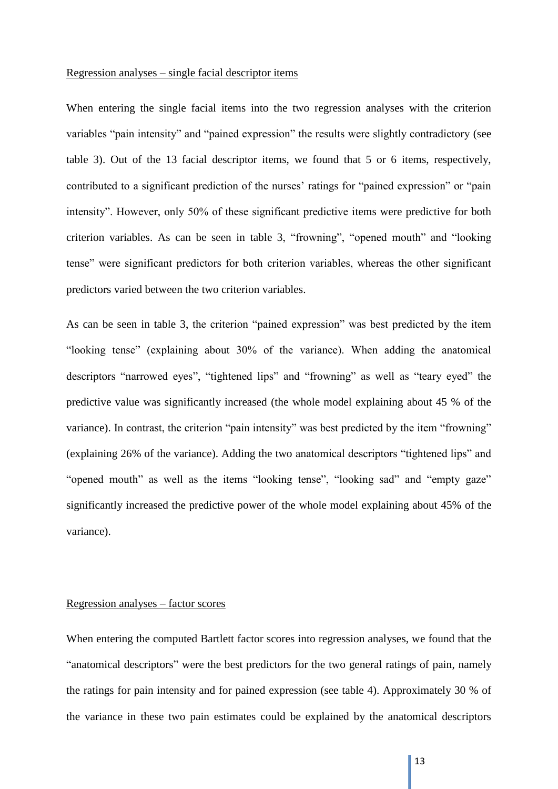#### Regression analyses – single facial descriptor items

When entering the single facial items into the two regression analyses with the criterion variables "pain intensity" and "pained expression" the results were slightly contradictory (see table 3). Out of the 13 facial descriptor items, we found that 5 or 6 items, respectively, contributed to a significant prediction of the nurses' ratings for "pained expression" or "pain intensity". However, only 50% of these significant predictive items were predictive for both criterion variables. As can be seen in table 3, "frowning", "opened mouth" and "looking tense" were significant predictors for both criterion variables, whereas the other significant predictors varied between the two criterion variables.

As can be seen in table 3, the criterion "pained expression" was best predicted by the item "looking tense" (explaining about 30% of the variance). When adding the anatomical descriptors "narrowed eyes", "tightened lips" and "frowning" as well as "teary eyed" the predictive value was significantly increased (the whole model explaining about 45 % of the variance). In contrast, the criterion "pain intensity" was best predicted by the item "frowning" (explaining 26% of the variance). Adding the two anatomical descriptors "tightened lips" and "opened mouth" as well as the items "looking tense", "looking sad" and "empty gaze" significantly increased the predictive power of the whole model explaining about 45% of the variance).

## Regression analyses – factor scores

When entering the computed Bartlett factor scores into regression analyses, we found that the "anatomical descriptors" were the best predictors for the two general ratings of pain, namely the ratings for pain intensity and for pained expression (see table 4). Approximately 30 % of the variance in these two pain estimates could be explained by the anatomical descriptors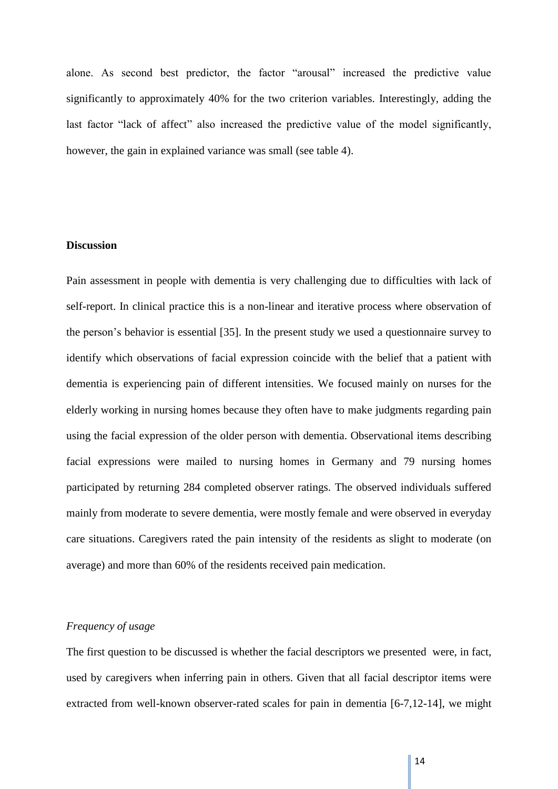alone. As second best predictor, the factor "arousal" increased the predictive value significantly to approximately 40% for the two criterion variables. Interestingly, adding the last factor "lack of affect" also increased the predictive value of the model significantly, however, the gain in explained variance was small (see table 4).

## **Discussion**

Pain assessment in people with dementia is very challenging due to difficulties with lack of self-report. In clinical practice this is a non-linear and iterative process where observation of the person's behavior is essential [35]. In the present study we used a questionnaire survey to identify which observations of facial expression coincide with the belief that a patient with dementia is experiencing pain of different intensities. We focused mainly on nurses for the elderly working in nursing homes because they often have to make judgments regarding pain using the facial expression of the older person with dementia. Observational items describing facial expressions were mailed to nursing homes in Germany and 79 nursing homes participated by returning 284 completed observer ratings. The observed individuals suffered mainly from moderate to severe dementia, were mostly female and were observed in everyday care situations. Caregivers rated the pain intensity of the residents as slight to moderate (on average) and more than 60% of the residents received pain medication.

## *Frequency of usage*

The first question to be discussed is whether the facial descriptors we presented were, in fact, used by caregivers when inferring pain in others. Given that all facial descriptor items were extracted from well-known observer-rated scales for pain in dementia [6-7,12-14], we might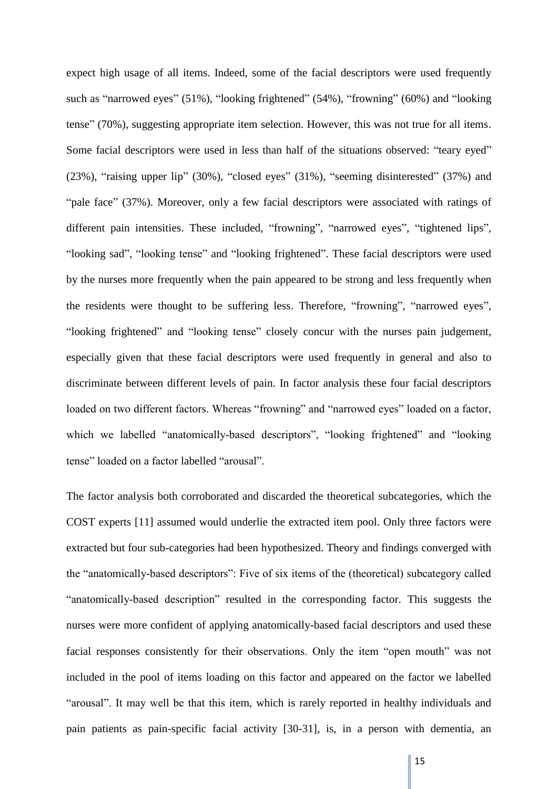expect high usage of all items. Indeed, some of the facial descriptors were used frequently such as "narrowed eyes" (51%), "looking frightened" (54%), "frowning" (60%) and "looking tense" (70%), suggesting appropriate item selection. However, this was not true for all items. Some facial descriptors were used in less than half of the situations observed: "teary eyed" (23%), "raising upper lip" (30%), "closed eyes" (31%), "seeming disinterested" (37%) and "pale face" (37%). Moreover, only a few facial descriptors were associated with ratings of different pain intensities. These included, "frowning", "narrowed eyes", "tightened lips", "looking sad", "looking tense" and "looking frightened". These facial descriptors were used by the nurses more frequently when the pain appeared to be strong and less frequently when the residents were thought to be suffering less. Therefore, "frowning", "narrowed eyes", "looking frightened" and "looking tense" closely concur with the nurses pain judgement, especially given that these facial descriptors were used frequently in general and also to discriminate between different levels of pain. In factor analysis these four facial descriptors loaded on two different factors. Whereas "frowning" and "narrowed eyes" loaded on a factor, which we labelled "anatomically-based descriptors", "looking frightened" and "looking tense" loaded on a factor labelled "arousal".

The factor analysis both corroborated and discarded the theoretical subcategories, which the COST experts [11] assumed would underlie the extracted item pool. Only three factors were extracted but four sub-categories had been hypothesized. Theory and findings converged with the "anatomically-based descriptors": Five of six items of the (theoretical) subcategory called "anatomically-based description" resulted in the corresponding factor. This suggests the nurses were more confident of applying anatomically-based facial descriptors and used these facial responses consistently for their observations. Only the item "open mouth" was not included in the pool of items loading on this factor and appeared on the factor we labelled "arousal". It may well be that this item, which is rarely reported in healthy individuals and pain patients as pain-specific facial activity [30-31], is, in a person with dementia, an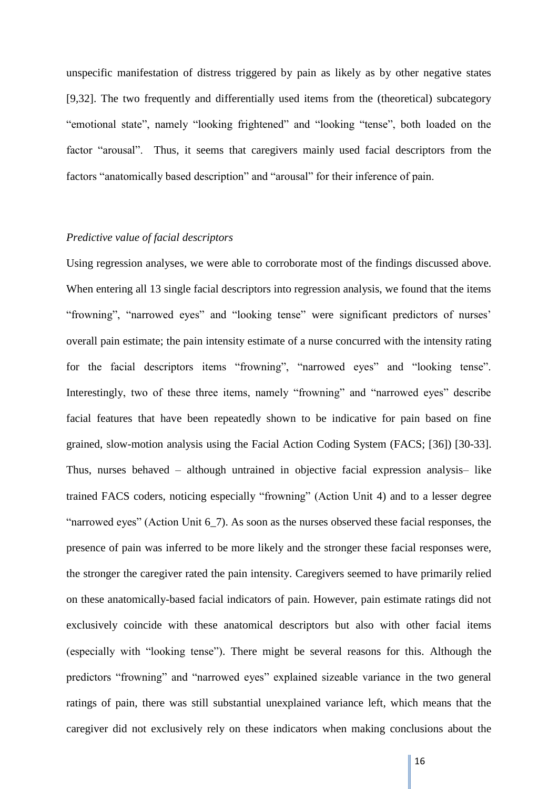unspecific manifestation of distress triggered by pain as likely as by other negative states [9,32]. The two frequently and differentially used items from the (theoretical) subcategory "emotional state", namely "looking frightened" and "looking "tense", both loaded on the factor "arousal". Thus, it seems that caregivers mainly used facial descriptors from the factors "anatomically based description" and "arousal" for their inference of pain.

#### *Predictive value of facial descriptors*

Using regression analyses, we were able to corroborate most of the findings discussed above. When entering all 13 single facial descriptors into regression analysis, we found that the items "frowning", "narrowed eyes" and "looking tense" were significant predictors of nurses' overall pain estimate; the pain intensity estimate of a nurse concurred with the intensity rating for the facial descriptors items "frowning", "narrowed eyes" and "looking tense". Interestingly, two of these three items, namely "frowning" and "narrowed eyes" describe facial features that have been repeatedly shown to be indicative for pain based on fine grained, slow-motion analysis using the Facial Action Coding System (FACS; [36]) [30-33]. Thus, nurses behaved – although untrained in objective facial expression analysis– like trained FACS coders, noticing especially "frowning" (Action Unit 4) and to a lesser degree "narrowed eyes" (Action Unit 6\_7). As soon as the nurses observed these facial responses, the presence of pain was inferred to be more likely and the stronger these facial responses were, the stronger the caregiver rated the pain intensity. Caregivers seemed to have primarily relied on these anatomically-based facial indicators of pain. However, pain estimate ratings did not exclusively coincide with these anatomical descriptors but also with other facial items (especially with "looking tense"). There might be several reasons for this. Although the predictors "frowning" and "narrowed eyes" explained sizeable variance in the two general ratings of pain, there was still substantial unexplained variance left, which means that the caregiver did not exclusively rely on these indicators when making conclusions about the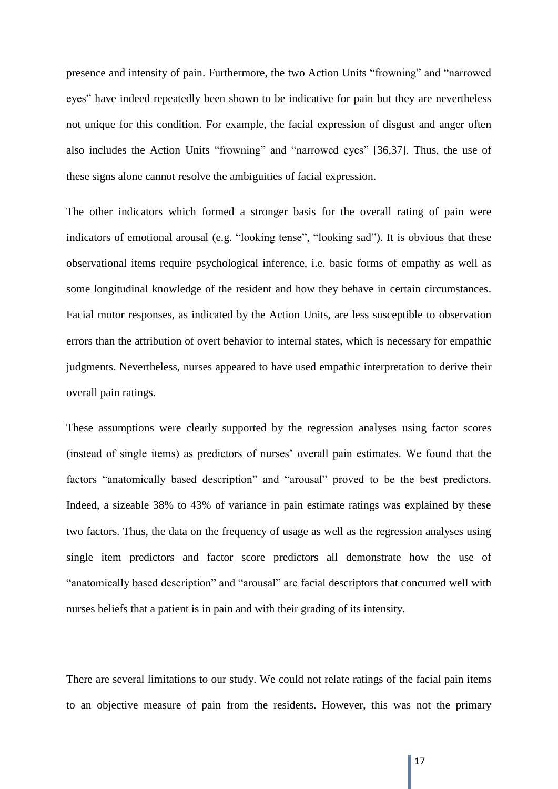presence and intensity of pain. Furthermore, the two Action Units "frowning" and "narrowed eyes" have indeed repeatedly been shown to be indicative for pain but they are nevertheless not unique for this condition. For example, the facial expression of disgust and anger often also includes the Action Units "frowning" and "narrowed eyes" [36,37]. Thus, the use of these signs alone cannot resolve the ambiguities of facial expression.

The other indicators which formed a stronger basis for the overall rating of pain were indicators of emotional arousal (e.g. "looking tense", "looking sad"). It is obvious that these observational items require psychological inference, i.e. basic forms of empathy as well as some longitudinal knowledge of the resident and how they behave in certain circumstances. Facial motor responses, as indicated by the Action Units, are less susceptible to observation errors than the attribution of overt behavior to internal states, which is necessary for empathic judgments. Nevertheless, nurses appeared to have used empathic interpretation to derive their overall pain ratings.

These assumptions were clearly supported by the regression analyses using factor scores (instead of single items) as predictors of nurses' overall pain estimates. We found that the factors "anatomically based description" and "arousal" proved to be the best predictors. Indeed, a sizeable 38% to 43% of variance in pain estimate ratings was explained by these two factors. Thus, the data on the frequency of usage as well as the regression analyses using single item predictors and factor score predictors all demonstrate how the use of "anatomically based description" and "arousal" are facial descriptors that concurred well with nurses beliefs that a patient is in pain and with their grading of its intensity.

There are several limitations to our study. We could not relate ratings of the facial pain items to an objective measure of pain from the residents. However, this was not the primary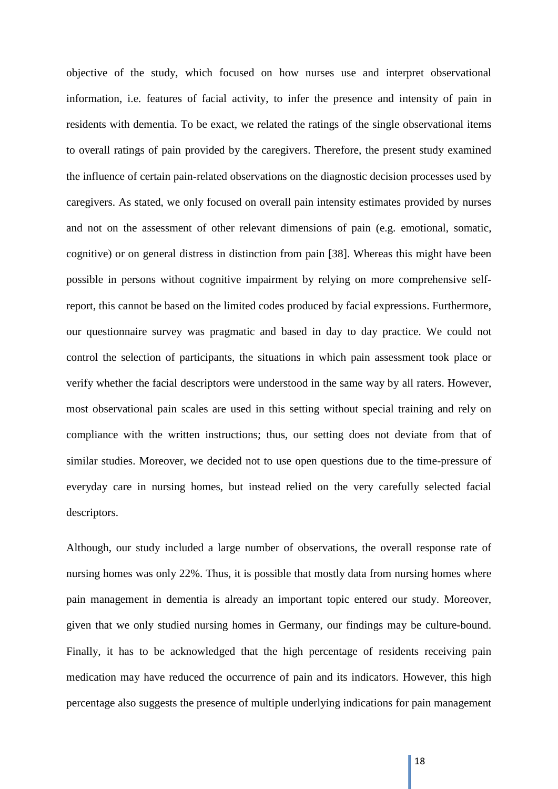objective of the study, which focused on how nurses use and interpret observational information, i.e. features of facial activity, to infer the presence and intensity of pain in residents with dementia. To be exact, we related the ratings of the single observational items to overall ratings of pain provided by the caregivers. Therefore, the present study examined the influence of certain pain-related observations on the diagnostic decision processes used by caregivers. As stated, we only focused on overall pain intensity estimates provided by nurses and not on the assessment of other relevant dimensions of pain (e.g. emotional, somatic, cognitive) or on general distress in distinction from pain [38]. Whereas this might have been possible in persons without cognitive impairment by relying on more comprehensive selfreport, this cannot be based on the limited codes produced by facial expressions. Furthermore, our questionnaire survey was pragmatic and based in day to day practice. We could not control the selection of participants, the situations in which pain assessment took place or verify whether the facial descriptors were understood in the same way by all raters. However, most observational pain scales are used in this setting without special training and rely on compliance with the written instructions; thus, our setting does not deviate from that of similar studies. Moreover, we decided not to use open questions due to the time-pressure of everyday care in nursing homes, but instead relied on the very carefully selected facial descriptors.

Although, our study included a large number of observations, the overall response rate of nursing homes was only 22%. Thus, it is possible that mostly data from nursing homes where pain management in dementia is already an important topic entered our study. Moreover, given that we only studied nursing homes in Germany, our findings may be culture-bound. Finally, it has to be acknowledged that the high percentage of residents receiving pain medication may have reduced the occurrence of pain and its indicators. However, this high percentage also suggests the presence of multiple underlying indications for pain management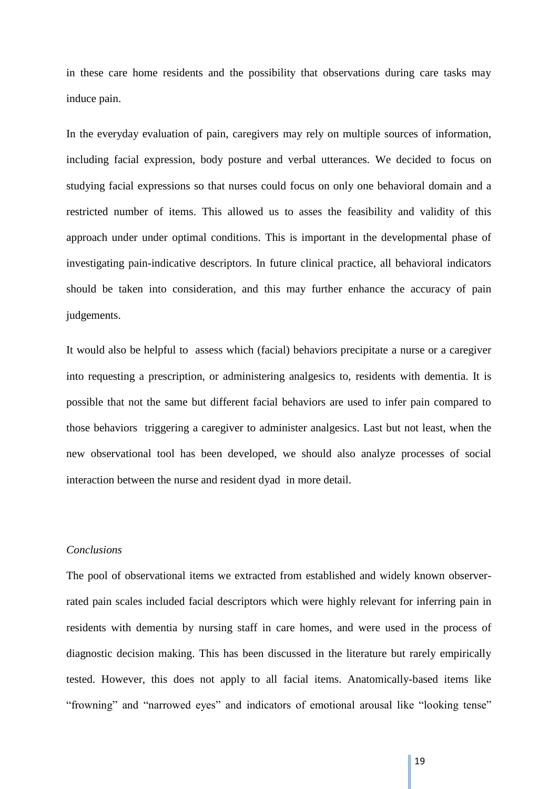in these care home residents and the possibility that observations during care tasks may induce pain.

In the everyday evaluation of pain, caregivers may rely on multiple sources of information, including facial expression, body posture and verbal utterances. We decided to focus on studying facial expressions so that nurses could focus on only one behavioral domain and a restricted number of items. This allowed us to asses the feasibility and validity of this approach under under optimal conditions. This is important in the developmental phase of investigating pain-indicative descriptors. In future clinical practice, all behavioral indicators should be taken into consideration, and this may further enhance the accuracy of pain judgements.

It would also be helpful to assess which (facial) behaviors precipitate a nurse or a caregiver into requesting a prescription, or administering analgesics to, residents with dementia. It is possible that not the same but different facial behaviors are used to infer pain compared to those behaviors triggering a caregiver to administer analgesics. Last but not least, when the new observational tool has been developed, we should also analyze processes of social interaction between the nurse and resident dyad in more detail.

### *Conclusions*

The pool of observational items we extracted from established and widely known observerrated pain scales included facial descriptors which were highly relevant for inferring pain in residents with dementia by nursing staff in care homes, and were used in the process of diagnostic decision making. This has been discussed in the literature but rarely empirically tested. However, this does not apply to all facial items. Anatomically-based items like "frowning" and "narrowed eyes" and indicators of emotional arousal like "looking tense"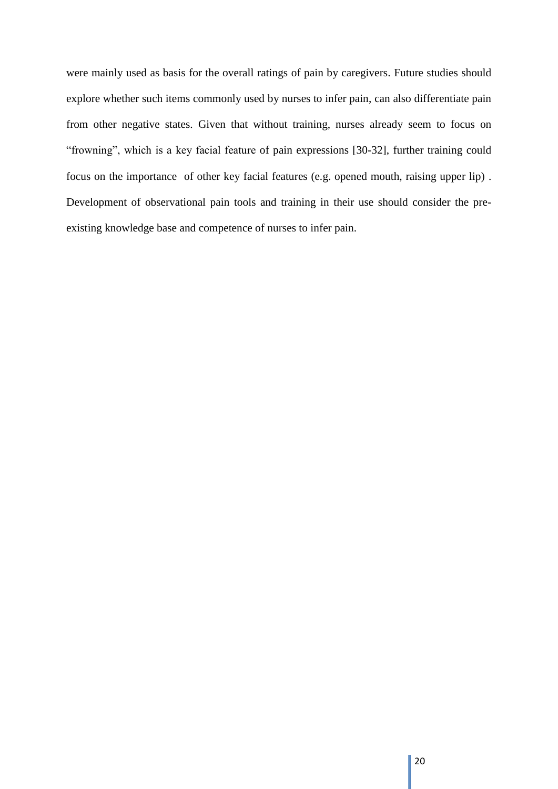were mainly used as basis for the overall ratings of pain by caregivers. Future studies should explore whether such items commonly used by nurses to infer pain, can also differentiate pain from other negative states. Given that without training, nurses already seem to focus on "frowning", which is a key facial feature of pain expressions [30-32], further training could focus on the importance of other key facial features (e.g. opened mouth, raising upper lip) . Development of observational pain tools and training in their use should consider the preexisting knowledge base and competence of nurses to infer pain.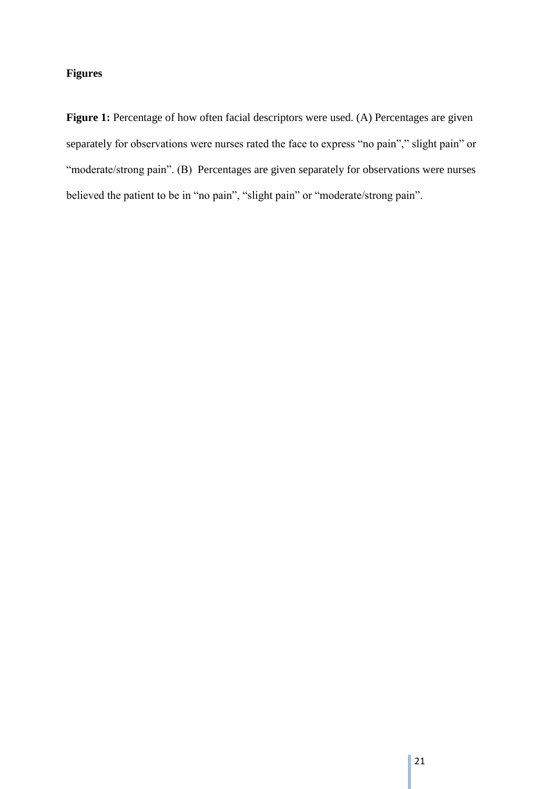# **Figures**

Figure 1: Percentage of how often facial descriptors were used. (A) Percentages are given separately for observations were nurses rated the face to express "no pain"," slight pain" or "moderate/strong pain". (B) Percentages are given separately for observations were nurses believed the patient to be in "no pain", "slight pain" or "moderate/strong pain".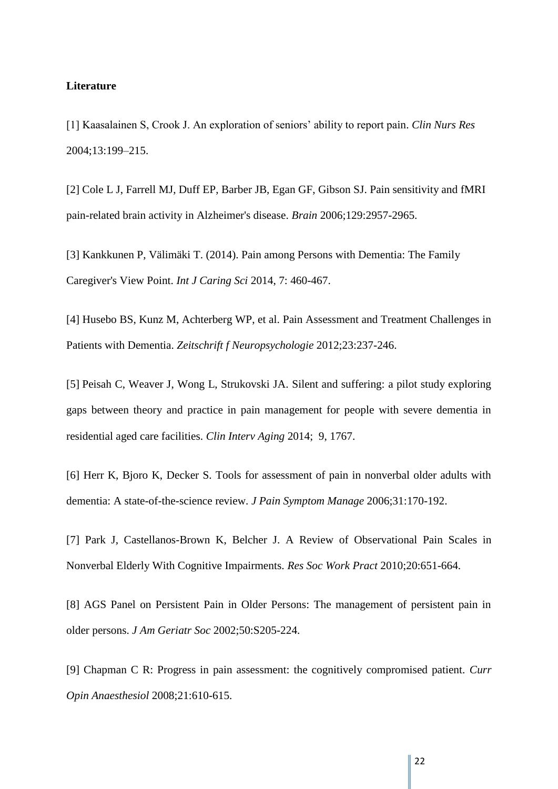#### **Literature**

[1] Kaasalainen S, Crook J. An exploration of seniors' ability to report pain. *Clin Nurs Res*  2004;13:199–215.

[2] Cole L J, Farrell MJ, Duff EP, Barber JB, Egan GF, Gibson SJ. Pain sensitivity and fMRI pain-related brain activity in Alzheimer's disease. *Brain* 2006;129:2957-2965.

[3] Kankkunen P, Välimäki T. (2014). Pain among Persons with Dementia: The Family Caregiver's View Point. *Int J Caring Sci* 2014, 7: 460-467.

[4] Husebo BS, Kunz M, Achterberg WP, et al. Pain Assessment and Treatment Challenges in Patients with Dementia. *Zeitschrift f Neuropsychologie* 2012;23:237-246.

[5] Peisah C, Weaver J, Wong L, Strukovski JA. Silent and suffering: a pilot study exploring gaps between theory and practice in pain management for people with severe dementia in residential aged care facilities. *Clin Interv Aging* 2014; 9, 1767.

[6] Herr K, Bjoro K, Decker S. Tools for assessment of pain in nonverbal older adults with dementia: A state-of-the-science review. *J Pain Symptom Manage* 2006;31:170-192.

[7] Park J, Castellanos-Brown K, Belcher J. A Review of Observational Pain Scales in Nonverbal Elderly With Cognitive Impairments. *Res Soc Work Pract* 2010;20:651-664.

[8] AGS Panel on Persistent Pain in Older Persons: The management of persistent pain in older persons. *J Am Geriatr Soc* 2002;50:S205-224.

[9] Chapman C R: Progress in pain assessment: the cognitively compromised patient. *Curr Opin Anaesthesiol* 2008;21:610-615.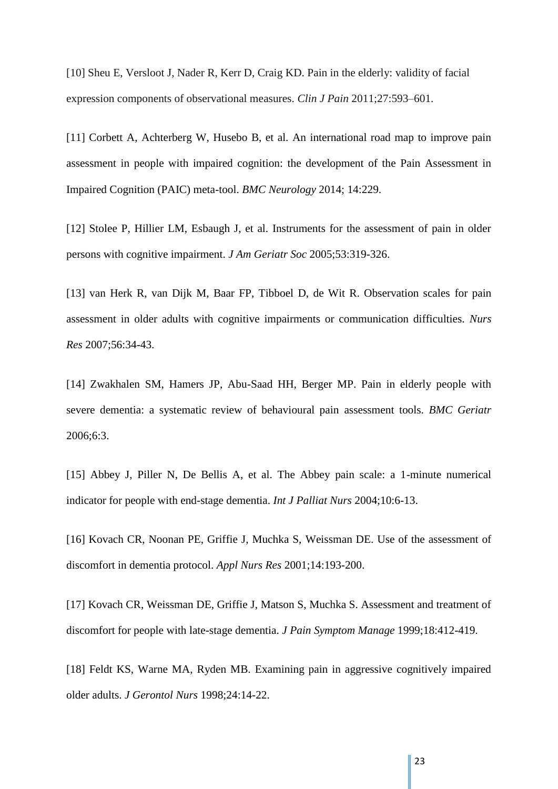[10] Sheu E, Versloot J, Nader R, Kerr D, Craig KD. Pain in the elderly: validity of facial expression components of observational measures. *Clin J Pain* 2011;27:593–601.

[11] Corbett A, Achterberg W, Husebo B, et al. An international road map to improve pain assessment in people with impaired cognition: the development of the Pain Assessment in Impaired Cognition (PAIC) meta-tool. *BMC Neurology* 2014; 14:229.

[12] Stolee P, Hillier LM, Esbaugh J, et al. Instruments for the assessment of pain in older persons with cognitive impairment. *J Am Geriatr Soc* 2005;53:319-326.

[13] van Herk R, van Dijk M, Baar FP, Tibboel D, de Wit R. Observation scales for pain assessment in older adults with cognitive impairments or communication difficulties. *Nurs Res* 2007;56:34-43.

[14] Zwakhalen SM, Hamers JP, Abu-Saad HH, Berger MP. Pain in elderly people with severe dementia: a systematic review of behavioural pain assessment tools. *BMC Geriatr* 2006;6:3.

[15] Abbey J, Piller N, De Bellis A, et al. The Abbey pain scale: a 1-minute numerical indicator for people with end-stage dementia. *Int J Palliat Nurs* 2004;10:6-13.

[16] Kovach CR, Noonan PE, Griffie J, Muchka S, Weissman DE. Use of the assessment of discomfort in dementia protocol. *Appl Nurs Res* 2001;14:193-200.

[17] Kovach CR, Weissman DE, Griffie J, Matson S, Muchka S. Assessment and treatment of discomfort for people with late-stage dementia. *J Pain Symptom Manage* 1999;18:412-419.

[18] Feldt KS, Warne MA, Ryden MB. Examining pain in aggressive cognitively impaired older adults. *J Gerontol Nurs* 1998;24:14-22.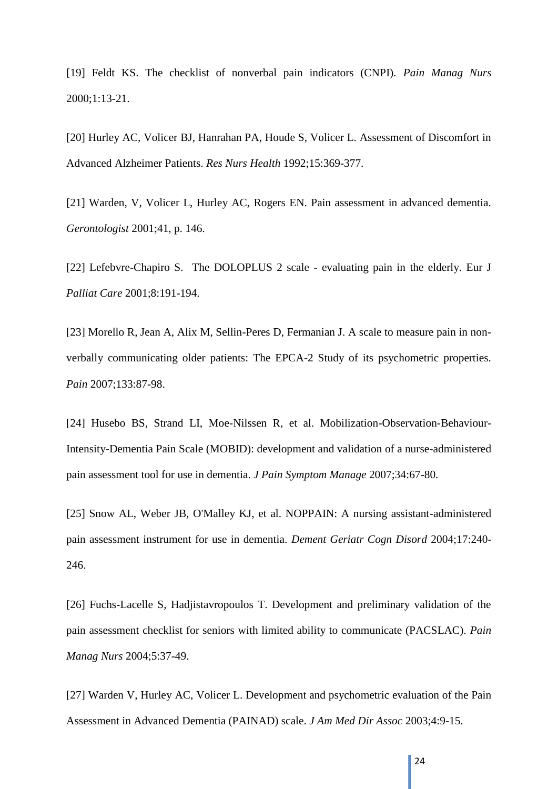[19] Feldt KS. The checklist of nonverbal pain indicators (CNPI). *Pain Manag Nurs*  2000;1:13-21.

[20] Hurley AC, Volicer BJ, Hanrahan PA, Houde S, Volicer L. Assessment of Discomfort in Advanced Alzheimer Patients. *Res Nurs Health* 1992;15:369-377.

[21] Warden, V, Volicer L, Hurley AC, Rogers EN. Pain assessment in advanced dementia. *Gerontologist* 2001;41, p. 146.

[22] Lefebvre-Chapiro S. The DOLOPLUS 2 scale - evaluating pain in the elderly. Eur J *Palliat Care* 2001;8:191-194.

[23] Morello R, Jean A, Alix M, Sellin-Peres D, Fermanian J. A scale to measure pain in nonverbally communicating older patients: The EPCA-2 Study of its psychometric properties. *Pain* 2007;133:87-98.

[24] Husebo BS, Strand LI, Moe-Nilssen R, et al. Mobilization-Observation-Behaviour-Intensity-Dementia Pain Scale (MOBID): development and validation of a nurse-administered pain assessment tool for use in dementia. *J Pain Symptom Manage* 2007;34:67-80.

[25] Snow AL, Weber JB, O'Malley KJ, et al. NOPPAIN: A nursing assistant-administered pain assessment instrument for use in dementia. *Dement Geriatr Cogn Disord* 2004;17:240- 246.

[26] Fuchs-Lacelle S, Hadjistavropoulos T. Development and preliminary validation of the pain assessment checklist for seniors with limited ability to communicate (PACSLAC). *Pain Manag Nurs* 2004;5:37-49.

[27] Warden V, Hurley AC, Volicer L. Development and psychometric evaluation of the Pain Assessment in Advanced Dementia (PAINAD) scale. *J Am Med Dir Assoc* 2003;4:9-15.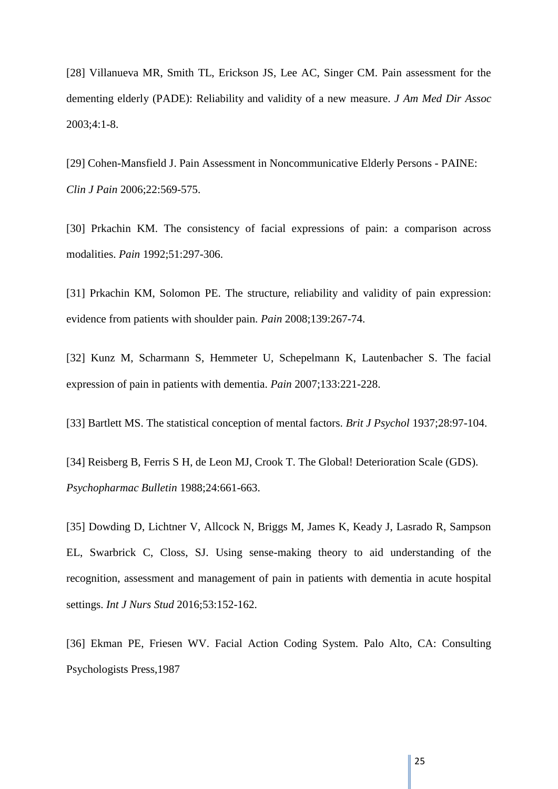[28] Villanueva MR, Smith TL, Erickson JS, Lee AC, Singer CM. Pain assessment for the dementing elderly (PADE): Reliability and validity of a new measure. *J Am Med Dir Assoc*  2003;4:1-8.

[29] Cohen-Mansfield J. Pain Assessment in Noncommunicative Elderly Persons - PAINE: *Clin J Pain* 2006;22:569-575.

[30] Prkachin KM. The consistency of facial expressions of pain: a comparison across modalities. *Pain* 1992;51:297-306.

[31] Prkachin KM, Solomon PE. The structure, reliability and validity of pain expression: evidence from patients with shoulder pain. *Pain* 2008;139:267-74.

[32] Kunz M, Scharmann S, Hemmeter U, Schepelmann K, Lautenbacher S. The facial expression of pain in patients with dementia. *Pain* 2007;133:221-228.

[33] Bartlett MS. The statistical conception of mental factors. *Brit J Psychol* 1937;28:97-104.

[34] Reisberg B, Ferris S H, de Leon MJ, Crook T. The Global! Deterioration Scale (GDS). *Psychopharmac Bulletin* 1988;24:661-663.

[35] Dowding D, Lichtner V, Allcock N, Briggs M, James K, Keady J, Lasrado R, Sampson EL, Swarbrick C, Closs, SJ. Using sense-making theory to aid understanding of the recognition, assessment and management of pain in patients with dementia in acute hospital settings. *Int J Nurs Stud* 2016;53:152-162.

[36] Ekman PE, Friesen WV. Facial Action Coding System. Palo Alto, CA: Consulting Psychologists Press,1987